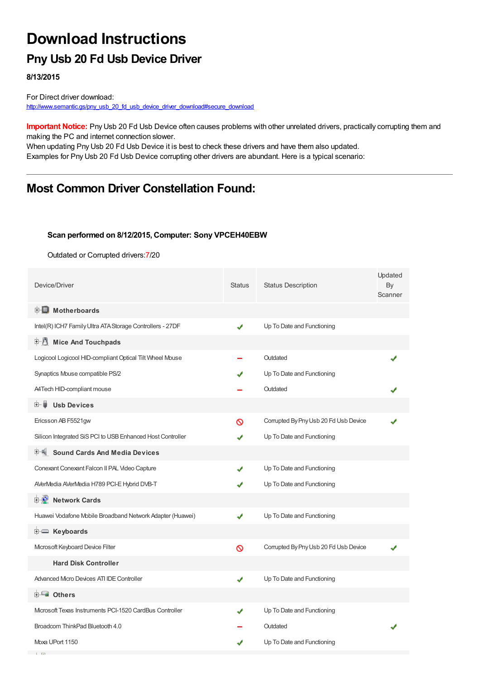# **Download Instructions**

## **Pny Usb 20 Fd Usb Device Driver**

**8/13/2015**

For Direct driver download: [http://www.semantic.gs/pny\\_usb\\_20\\_fd\\_usb\\_device\\_driver\\_download#secure\\_download](http://www.semantic.gs/pny_usb_20_fd_usb_device_driver_download#secure_download)

**Important Notice:** Pny Usb 20 Fd Usb Device often causes problems with other unrelated drivers, practically corrupting them and making the PC and internet connection slower.

When updating Pny Usb 20 Fd Usb Device it is best to check these drivers and have them also updated. Examples for Pny Usb 20 Fd Usb Device corrupting other drivers are abundant. Here is a typical scenario:

### **Most Common Driver Constellation Found:**

#### **Scan performed on 8/12/2015, Computer: Sony VPCEH40EBW**

Outdated or Corrupted drivers:7/20

| Device/Driver                                              | <b>Status</b> | <b>Status Description</b>             | Updated<br>By<br>Scanner |
|------------------------------------------------------------|---------------|---------------------------------------|--------------------------|
| <b>E</b> Motherboards                                      |               |                                       |                          |
| Intel(R) ICH7 Family Ultra ATA Storage Controllers - 27DF  | ✔             | Up To Date and Functioning            |                          |
| Mice And Touchpads                                         |               |                                       |                          |
| Logicool Logicool HID-compliant Optical Tilt Wheel Mouse   |               | Outdated                              |                          |
| Synaptics Mouse compatible PS/2                            |               | Up To Date and Functioning            |                          |
| A4Tech HID-compliant mouse                                 |               | Outdated                              |                          |
| 田一尊<br><b>Usb Devices</b>                                  |               |                                       |                          |
| Ericsson AB F5521gw                                        | $\infty$      | Corrupted By Pny Usb 20 Fd Usb Device |                          |
| Silicon Integrated SiS PCI to USB Enhanced Host Controller |               | Up To Date and Functioning            |                          |
| 中 <sup>制</sup> Sound Cards And Media Devices               |               |                                       |                          |
| Conexant Conexant Falcon II PAL Video Capture              | ✔             | Up To Date and Functioning            |                          |
| AVerMedia AVerMedia H789 PCI-E Hybrid DVB-T                |               | Up To Date and Functioning            |                          |
| <b>E-2</b> Network Cards                                   |               |                                       |                          |
| Huawei Vodafone Mobile Broadband Network Adapter (Huawei)  | ✔             | Up To Date and Functioning            |                          |
| E Keyboards                                                |               |                                       |                          |
| Microsoft Keyboard Device Filter                           | Ø             | Corrupted By Pny Usb 20 Fd Usb Device |                          |
| <b>Hard Disk Controller</b>                                |               |                                       |                          |
| Advanced Micro Devices ATI IDE Controller                  | ✔             | Up To Date and Functioning            |                          |
| <b>E</b> Others                                            |               |                                       |                          |
| Mcrosoft Texas Instruments PCI-1520 CardBus Controller     |               | Up To Date and Functioning            |                          |
| Broadcom ThinkPad Bluetooth 4.0                            |               | Outdated                              |                          |
| Moxa UPort 1150                                            |               | Up To Date and Functioning            |                          |
| <b>Contract Contract Contract</b>                          |               |                                       |                          |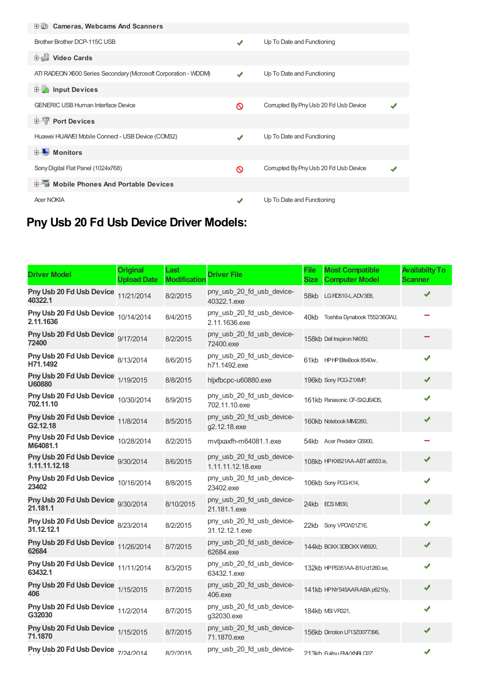| 电缆 Cameras, Webcams And Scanners                               |   |                                       |  |
|----------------------------------------------------------------|---|---------------------------------------|--|
| Brother Brother DCP-115C USB                                   | ✔ | Up To Date and Functioning            |  |
| i Video Cards                                                  |   |                                       |  |
| ATI RADEON X600 Series Secondary (Mcrosoft Corporation - WDDM) | ✔ | Up To Date and Functioning            |  |
| <b>Devices</b> Input Devices                                   |   |                                       |  |
| <b>GENERIC USB Human Interface Device</b>                      | ∾ | Corrupted By Pny Usb 20 Fd Usb Device |  |
| <b>E-</b> Port Devices                                         |   |                                       |  |
| Huawei HUAWEI Mobile Connect - USB Device (COM32)              | ✔ | Up To Date and Functioning            |  |
| <b>E</b> Monitors                                              |   |                                       |  |
| Sony Digital Flat Panel (1024x768)                             | ര | Corrupted By Pny Usb 20 Fd Usb Device |  |
| <b>E-5</b> Mobile Phones And Portable Devices                  |   |                                       |  |
| <b>Acer NOKIA</b>                                              |   | Up To Date and Functioning            |  |

## **Pny Usb 20 Fd Usb Device Driver Models:**

| <b>Driver Model</b>                                        | <b>Original</b><br><b>Upload Date</b> | Last<br><b>Modificatior</b> | <b>Driver File</b>                             | File<br>Size | <b>Most Compatible</b><br><b>Computer Model</b> | <b>Availabilty To</b><br><b>Scanner</b> |
|------------------------------------------------------------|---------------------------------------|-----------------------------|------------------------------------------------|--------------|-------------------------------------------------|-----------------------------------------|
| Pny Usb 20 Fd Usb Device<br>40322.1                        | 11/21/2014                            | 8/2/2015                    | pny_usb_20_fd_usb_device-<br>40322.1.exe       | 58kb         | LG RD510-L.ADV3E8,                              | ✔                                       |
| Pny Usb 20 Fd Usb Device 10/14/2014<br>2.11.1636           |                                       | 8/4/2015                    | pny_usb_20_fd_usb_device-<br>2.11.1636.exe     | 40kb         | Toshiba Dynabook T552/36GWJ,                    |                                         |
| Pny Usb 20 Fd Usb Device 9/17/2014<br>72400                |                                       | 8/2/2015                    | pny_usb_20_fd_usb_device-<br>72400.exe         |              | 158kb Dell Inspiron N4050,                      |                                         |
| Pny Usb 20 Fd Usb Device<br>H71.1492                       | 8/13/2014                             | 8/6/2015                    | pny usb 20 fd usb device-<br>h71.1492.exe      |              | 61kb HPHP BiteBook 8540w,                       |                                         |
| Pny Usb 20 Fd Usb Device 1/19/2015<br>U60880               |                                       | 8/8/2015                    | hljxfbcpc-u60880.exe                           |              | 196kb Sony POG-Z1XMP,                           | ✔                                       |
| Pny Usb 20 Fd Usb Device 10/30/2014<br>702.11.10           |                                       | 8/9/2015                    | pny_usb_20_fd_usb_device-<br>702.11.10.exe     |              | 161kb Panasonic CF-SX2JE4DS,                    |                                         |
| Pny Usb 20 Fd Usb Device 11/8/2014<br>G <sub>2.12.18</sub> |                                       | 8/5/2015                    | pny usb 20 fd usb device-<br>g2.12.18.exe      |              | 160kb Notebook MIM2260,                         |                                         |
| Pny Usb 20 Fd Usb Device 10/28/2014<br>M64081.1            |                                       | 8/2/2015                    | mvtjxaxfh-m64081.1.exe                         |              | 54kb Acer Predator G5900,                       |                                         |
| Pny Usb 20 Fd Usb Device 9/30/2014<br>1.11.11.12.18        |                                       | 8/6/2015                    | pny usb 20 fd usb device-<br>1.11.11.12.18.exe |              | 108kb HPKX621AA-ABT a6553.is,                   | ✔                                       |
| Pny Usb 20 Fd Usb Device 10/16/2014<br>23402               |                                       | 8/8/2015                    | pny_usb_20_fd_usb_device-<br>23402.exe         |              | 106kb Sony POG-K14,                             |                                         |
| Pny Usb 20 Fd Usb Device 9/30/2014<br>21.181.1             |                                       | 8/10/2015                   | pny_usb_20_fd_usb_device-<br>21.181.1.exe      |              | 24kb ECS M830,                                  | ✔                                       |
| Pny Usb 20 Fd Usb Device 8/23/2014<br>31.12.12.1           |                                       | 8/2/2015                    | pny_usb_20_fd_usb_device-<br>31.12.12.1.exe    | 22kb         | Sony VPCW21Z1E,                                 |                                         |
| Pny Usb 20 Fd Usb Device 11/26/2014<br>62684               |                                       | 8/7/2015                    | pny_usb_20_fd_usb_device-<br>62684.exe         |              | 144kb BOXX 3DBOXX W8920,                        | ✔                                       |
| Pny Usb 20 Fd Usb Device 11/11/2014<br>63432.1             |                                       | 8/3/2015                    | pny_usb_20_fd_usb_device-<br>63432.1.exe       |              | 132kb HPPS351AA-B1Ud1260.se,                    | J                                       |
| Pny Usb 20 Fd Usb Device 1/15/2015<br>406                  |                                       | 8/7/2015                    | pny_usb_20_fd_usb_device-<br>406.exe           |              | 141kb HPNY545AAR-ABA p6210y,                    | ✔                                       |
| Pny Usb 20 Fd Usb Device 11/2/2014<br>G32030               |                                       | 8/7/2015                    | pny usb 20 fd usb device-<br>g32030.exe        |              | 184kb MSI VR321,                                |                                         |
| Pny Usb 20 Fd Usb Device 1/15/2015<br>71.1870              |                                       | 8/7/2015                    | pny_usb_20_fd_usb_device-<br>71.1870.exe       |              | 156kb Dimotion LF13Z0077396,                    | ✔                                       |
| Pny Usb 20 Fd Usb Device 7/24/2014                         |                                       | 8/2/2015                    | pny_usb_20_fd_usb_device-                      |              | 21.3kh Fuitsu FM/XNBI 027                       | ✔                                       |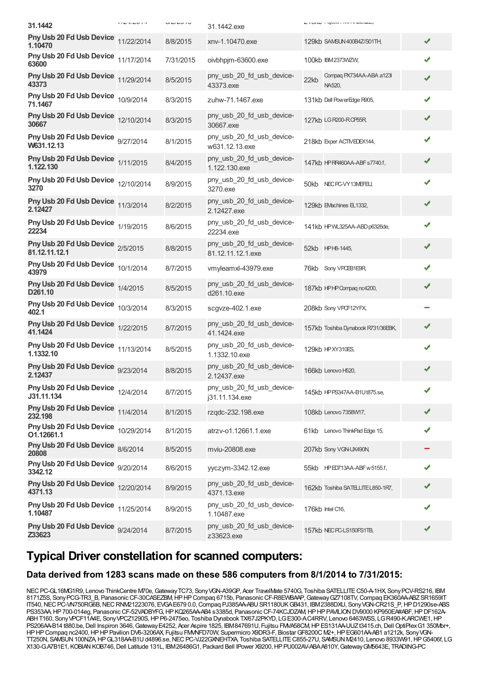| 31.1442                                            | 115T15V1T | $U1 - L1 = U1$ | 31.1442.exe                                    | <b>LIUINU I UJIWU I IVIV / V WEWSE,</b>    |   |
|----------------------------------------------------|-----------|----------------|------------------------------------------------|--------------------------------------------|---|
| Pny Usb 20 Fd Usb Device 11/22/2014<br>1.10470     |           | 8/8/2015       | xnv-1.10470.exe                                | 129kb SAMSUN 400B4Z/S01TH,                 | ✔ |
| Pny Usb 20 Fd Usb Device 11/17/2014<br>63600       |           | 7/31/2015      | oivbhpjm-63600.exe                             | 100kb IBM2373WZW,                          |   |
| Pny Usb 20 Fd Usb Device 11/29/2014<br>43373       |           | 8/5/2015       | pny_usb_20_fd_usb_device-<br>43373.exe         | Compaq PX734AA-ABA a123I<br>22kb<br>NA520, |   |
| Pny Usb 20 Fd Usb Device 10/9/2014<br>71.1467      |           | 8/3/2015       | zuhw-71.1467.exe                               | 131kb Dell PowerEdge R905,                 | ✔ |
| Pny Usb 20 Fd Usb Device 12/10/2014<br>30667       |           | 8/3/2015       | pny_usb_20_fd_usb_device-<br>30667.exe         | 127kb LG R200-ROP55R,                      | ✔ |
| Pny Usb 20 Fd Usb Device 9/27/2014<br>W631.12.13   |           | 8/1/2015       | pny_usb_20_fd_usb_device-<br>w631.12.13.exe    | 218kb Exper ACTIVEDEX144,                  | ✔ |
| Pny Usb 20 Fd Usb Device 1/11/2015<br>1.122.130    |           | 8/4/2015       | pny_usb_20_fd_usb_device-<br>1.122.130.exe     | 147kb HPRR460AA-ABF s7740.f,               |   |
| Pny Usb 20 Fd Usb Device 12/10/2014<br>3270        |           | 8/9/2015       | pny_usb_20_fd_usb_device-<br>3270.exe          | NEC PC-VY13MEFEU,<br>50kb                  |   |
| Pny Usb 20 Fd Usb Device 11/3/2014<br>2.12427      |           | 8/2/2015       | pny usb 20 fd usb device-<br>2.12427.exe       | 129kb EVachines EL1332.                    | ✔ |
| Pny Usb 20 Fd Usb Device 1/19/2015<br>22234        |           | 8/6/2015       | pny_usb_20_fd_usb_device-<br>22234.exe         | 141kb HPVM_325AA-ABD p6326de,              | ✔ |
| Pny Usb 20 Fd Usb Device 2/5/2015<br>81.12.11.12.1 |           | 8/8/2015       | pny_usb_20_fd_usb_device-<br>81.12.11.12.1.exe | 52kb HPH8-1445,                            | ✔ |
| Pny Usb 20 Fd Usb Device 10/1/2014<br>43979        |           | 8/7/2015       | vmyleamxl-43979.exe                            | Sony VPOEB1E9R,<br>76kb                    |   |
| Pny Usb 20 Fd Usb Device 1/4/2015<br>D261.10       |           | 8/5/2015       | pny_usb_20_fd_usb_device-<br>d261.10.exe       | 187kb HPHP Compaq nc4200,                  |   |
| Pny Usb 20 Fd Usb Device 10/3/2014<br>402.1        |           | 8/3/2015       | scgvze-402.1.exe                               | 208kb Sony VPOF12YFX,                      |   |
| Pny Usb 20 Fd Usb Device 1/22/2015<br>41.1424      |           | 8/7/2015       | pny_usb_20_fd_usb_device-<br>41.1424.exe       | 157kb Toshiba Dynabook R731/36EBK,         |   |
| Pny Usb 20 Fd Usb Device 11/13/2014<br>1.1332.10   |           | 8/5/2015       | pny_usb_20_fd_usb_device-<br>1.1332.10.exe     | 129kb HPXY310ES,                           | ✔ |
| Pny Usb 20 Fd Usb Device 9/23/2014<br>2.12437      |           | 8/8/2015       | pny_usb_20_fd_usb_device-<br>2.12437.exe       | 166kb Lenovo H520,                         |   |
| Pny Usb 20 Fd Usb Device 12/4/2014<br>J31.11.134   |           | 8/7/2015       | pny usb 20 fd usb device-<br>j31.11.134.exe    | 145kb HPPS347AA-B1Ut875.se,                | ✔ |
| Pny Usb 20 Fd Usb Device 11/4/2014<br>232.198      |           | 8/1/2015       | rzqdc-232.198.exe                              | 108kb Lenovo 7358W17,                      | ✔ |
| Pny Usb 20 Fd Usb Device 10/29/2014<br>O1.12661.1  |           | 8/1/2015       | atrzv-o1.12661.1.exe                           | 61kb Lenovo ThinkPad Edge 15,              | ✔ |
| Pny Usb 20 Fd Usb Device 8/6/2014<br>20808         |           | 8/5/2015       | mviu-20808.exe                                 | 207kb Sony VGN-UX490N,                     |   |
| Pny Usb 20 Fd Usb Device 9/20/2014<br>3342.12      |           | 8/6/2015       | yyczym-3342.12.exe                             | 55kb HPED713AA-ABF w 5155.f,               | ✔ |
| Pny Usb 20 Fd Usb Device 12/20/2014<br>4371.13     |           | 8/9/2015       | pny_usb_20_fd_usb_device-<br>4371.13.exe       | 162kb Toshiba SATELLITE L850-1R7,          |   |
| Pny Usb 20 Fd Usb Device 11/25/2014<br>1.10487     |           | 8/9/2015       | pny_usb_20_fd_usb_device-<br>1.10487.exe       | 176kb Intel C16,                           | ✔ |
| Pny Usb 20 Fd Usb Device 9/24/2014<br>Z33623       |           | 8/7/2015       | pny_usb_20_fd_usb_device-<br>z33623.exe        | 157kb NEC PC-LS150FS1TB,                   | ✔ |

### **Typical Driver constellation for scanned computers:**

### **Data derived from 1283 scans made on these 586 computers from 8/1/2014 to 7/31/2015:**

NEC PC-GL16MG1R9, Lenovo ThinkCentre M70e, Gateway TC73, Sony VGN-A39GP, Acer TravelMate 5740G, Toshiba SATELLITE C50-A-1HX, Sony PCV-RS216, IBM 8171Z5S, Sony PCG-TR3\_B, Panasonic CF-30CASEZBM, HP HP Compaq 6715b, Panasonic CF-R8EWBAAP, Gateway GZ7108TV, Compaq EK360AA-ABZ SR1659IT IT540,NECPC-VN750RG6B,NECRNM21223076, EVGAE679 0.0,Compaq PJ385AA-ABUSR1180UKGB431, IBM2388DXU, SonyVGN-CR21S\_P,HPD1290se-ABS PS353AA,HP700-014eg, PanasonicCF-52VADBYFG,HPKQ265AA-AB4 s3385d, PanasonicCF-74KCJDZAM,HPHPPAVILIONDV9000 KP950EA#ABF,HPDF162A-ABHT160, SonyVPCF11A4E, SonyVPCZ1290S, HPP6-2475eo, Toshiba Dynabook TX/67J2PKYD, LGE300-AC4RRV, Lenovo 6463WSS, LGR490-K.ARCWE1, HP PS206AAB14 t880.be, Dell Inspiron 3646, Gateway E4252, Acer Aspire 1825, IBM847691U, Fujitsu FMVA58CM, HP ES131AA-UUZt3415.ch, Dell OptiPlex G1 350Mbr+, HPHPCompaq nc2400,HPHPPavilion DV6-3206AX, Fujitsu FMVNFD70W, Supermicro X9DR3-F, BiostarGF8200C M2+,HPEG601AA-AB1 a1212k, SonyVGN-TT250N, SAMSUN100NZA,HPGL318AA-B1Ud4896.se,NECPC-VJ22GXNEHTXA, Toshiba SATELLITEC855-27U, SAMSUN M2410, Lenovo 8933W91,HPG5406f, LG X130-G.A7B1E1, KOBIANKOB746,Dell Latitude 131L, IBM26486G1, Packard Bell IPower X9200,HPPU002AV-ABAA810Y,GatewayGM5643E, TRADING-PC